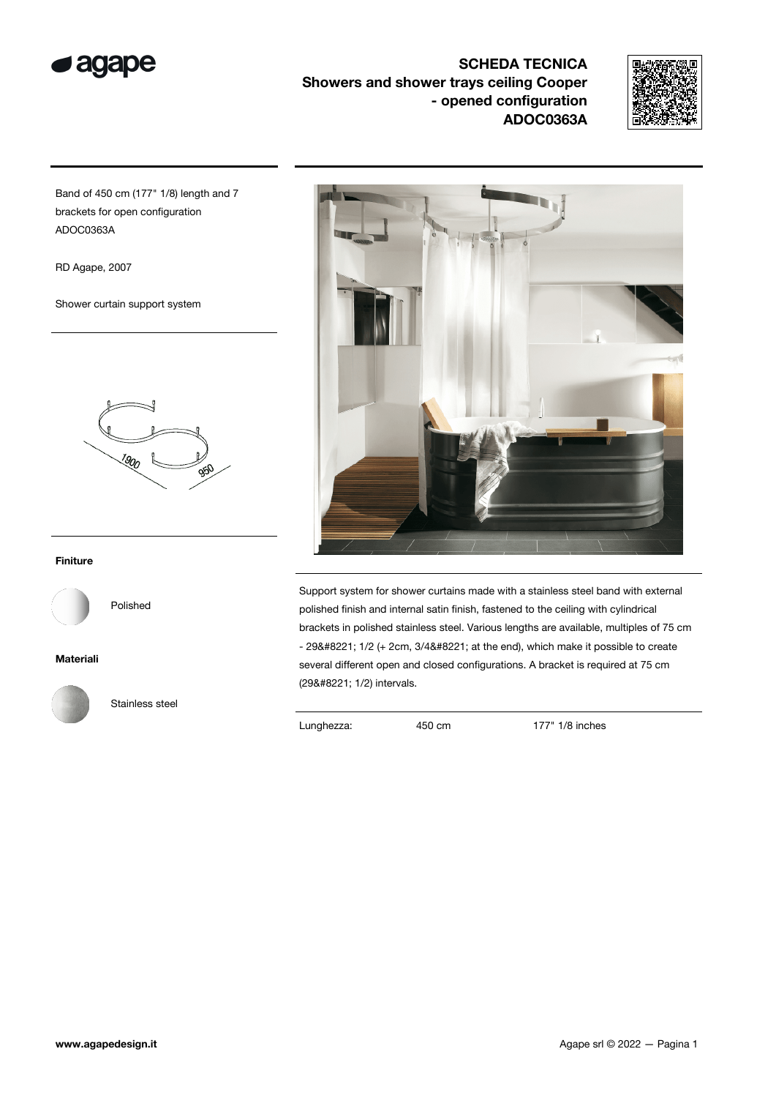

SCHEDA TECNICA Showers and shower trays ceiling Cooper - opened configuration ADOC0363A



Band of 450 cm (177" 1/8) length and 7 brackets for open configuration ADOC0363A

RD Agape, 2007

Shower curtain support system



## Finiture

Polished

Materiali



Stainless steel



Support system for shower curtains made with a stainless steel band with external polished finish and internal satin finish, fastened to the ceiling with cylindrical brackets in polished stainless steel. Various lengths are available, multiples of 75 cm  $-$  29" 1/2 (+ 2cm, 3/4" at the end), which make it possible to create several different open and closed configurations. A bracket is required at 75 cm (29" 1/2) intervals.

Lunghezza: 450 cm 177" 1/8 inches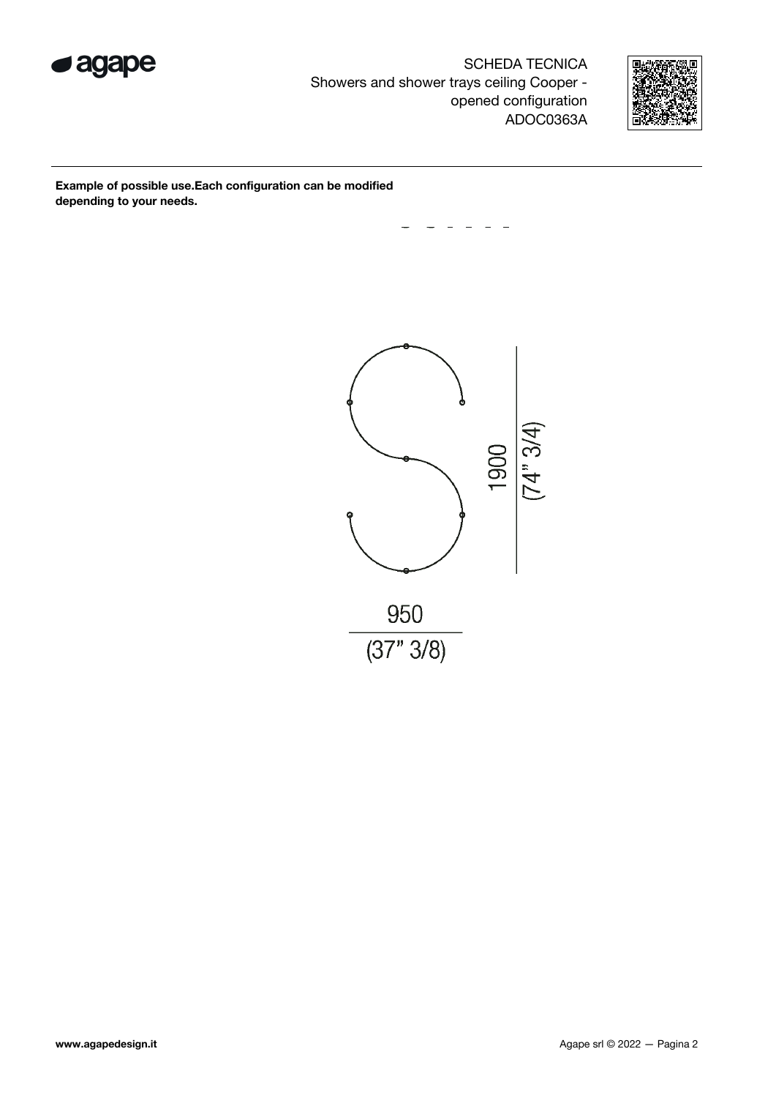

SCHEDA TECNICA Showers and shower trays ceiling Cooper opened configuration ADOC0363A



Example of possible use.Each configuration can be modified depending to your needs.

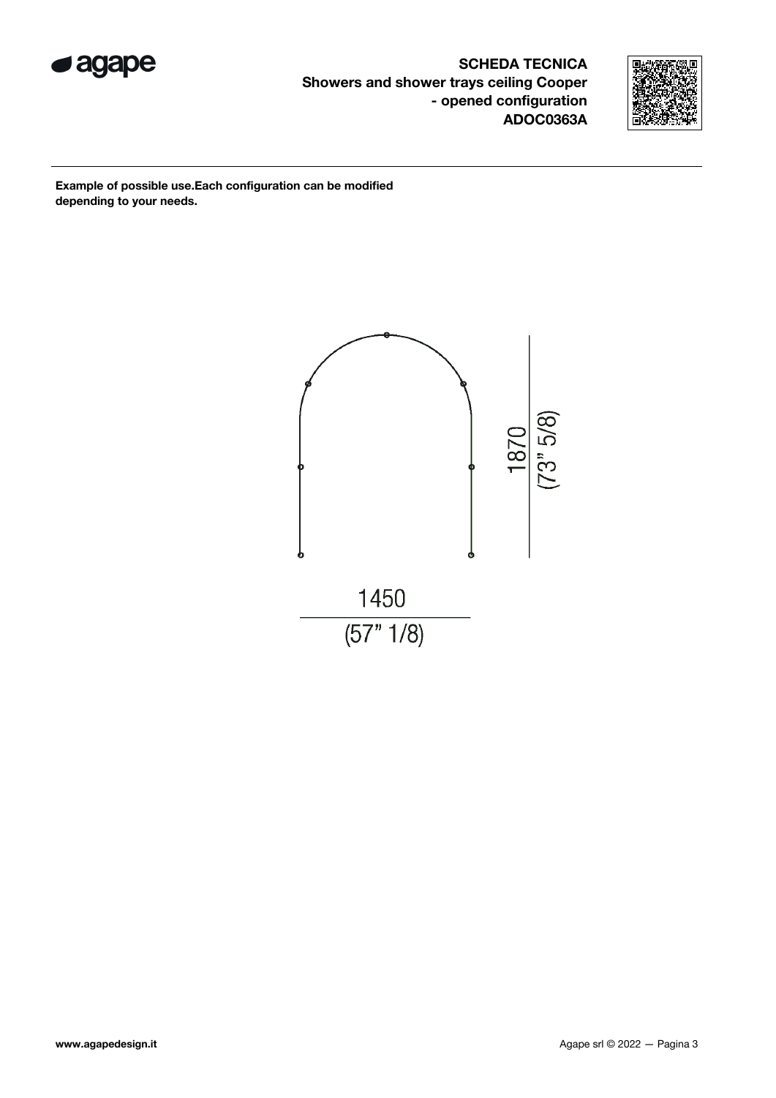

SCHEDA TECNICA Showers and shower trays ceiling Cooper - opened configuration ADOC0363A



Example of possible use.Each configuration can be modified depending to your needs.